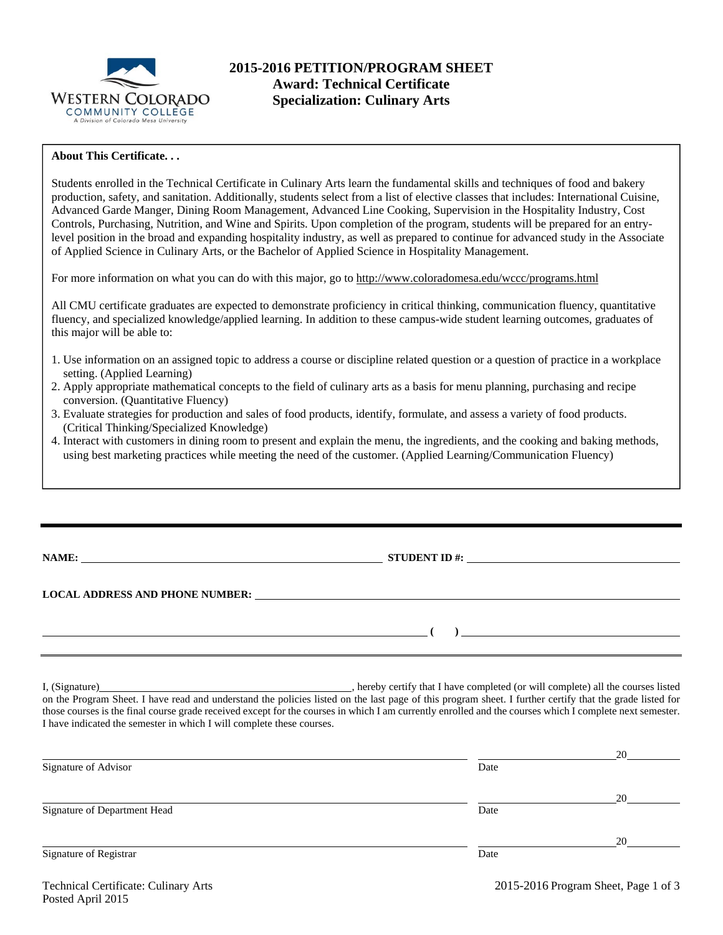

# **2015-2016 PETITION/PROGRAM SHEET Award: Technical Certificate Specialization: Culinary Arts**

## **About This Certificate. . .**

Students enrolled in the Technical Certificate in Culinary Arts learn the fundamental skills and techniques of food and bakery production, safety, and sanitation. Additionally, students select from a list of elective classes that includes: International Cuisine, Advanced Garde Manger, Dining Room Management, Advanced Line Cooking, Supervision in the Hospitality Industry, Cost Controls, Purchasing, Nutrition, and Wine and Spirits. Upon completion of the program, students will be prepared for an entrylevel position in the broad and expanding hospitality industry, as well as prepared to continue for advanced study in the Associate of Applied Science in Culinary Arts, or the Bachelor of Applied Science in Hospitality Management.

For more information on what you can do with this major, go to http://www.coloradomesa.edu/wccc/programs.html

All CMU certificate graduates are expected to demonstrate proficiency in critical thinking, communication fluency, quantitative fluency, and specialized knowledge/applied learning. In addition to these campus-wide student learning outcomes, graduates of this major will be able to:

- 1. Use information on an assigned topic to address a course or discipline related question or a question of practice in a workplace setting. (Applied Learning)
- 2. Apply appropriate mathematical concepts to the field of culinary arts as a basis for menu planning, purchasing and recipe conversion. (Quantitative Fluency)
- 3. Evaluate strategies for production and sales of food products, identify, formulate, and assess a variety of food products. (Critical Thinking/Specialized Knowledge)
- 4. Interact with customers in dining room to present and explain the menu, the ingredients, and the cooking and baking methods, using best marketing practices while meeting the need of the customer. (Applied Learning/Communication Fluency)

| NAME:<br><u> 1989 - John Stein, Amerikaansk politiker († 1989)</u>                                                                                                                                                             | <b>STUDENT ID #:</b> | <u> 1980 - Andrea Aontaithe ann an t-Aontaithe ann an t-Aontaithe ann an t-Aontaithe ann an t-Aontaithe ann an t-</u> |
|--------------------------------------------------------------------------------------------------------------------------------------------------------------------------------------------------------------------------------|----------------------|-----------------------------------------------------------------------------------------------------------------------|
| LOCAL ADDRESS AND PHONE NUMBER: DELLA CONTRACT AND ANNOUNCED AND ALL AND THE SAME OF THE SAME OF THE SAME OF THE SAME OF THE SAME OF THE SAME OF THE SAME OF THE SAME OF THE SAME OF THE SAME OF THE SAME OF THE SAME OF THE S |                      |                                                                                                                       |
|                                                                                                                                                                                                                                |                      |                                                                                                                       |
|                                                                                                                                                                                                                                |                      | <u> 1980 - Jan Stein Berlin, amerikansk politiker (</u>                                                               |

I, (Signature) , hereby certify that I have completed (or will complete) all the courses listed on the Program Sheet. I have read and understand the policies listed on the last page of this program sheet. I further certify that the grade listed for those courses is the final course grade received except for the courses in which I am currently enrolled and the courses which I complete next semester. I have indicated the semester in which I will complete these courses.

|                              |      | 20 |
|------------------------------|------|----|
| Signature of Advisor         | Date |    |
|                              |      |    |
|                              |      | 20 |
| Signature of Department Head | Date |    |
|                              |      |    |
|                              |      | 20 |
| Signature of Registrar       | Date |    |
|                              |      |    |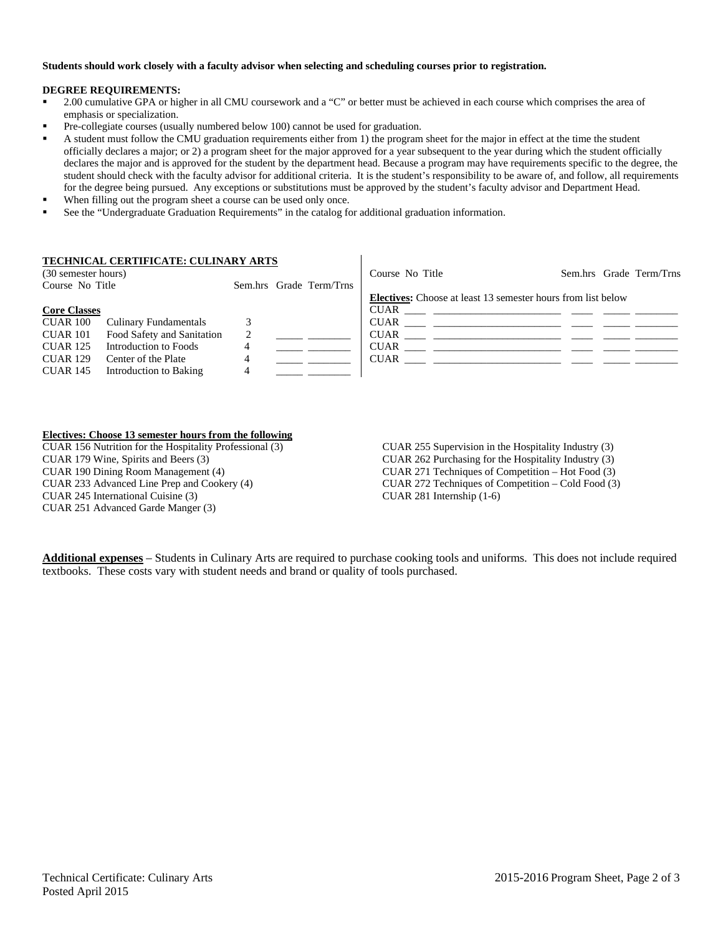### **Students should work closely with a faculty advisor when selecting and scheduling courses prior to registration.**

#### **DEGREE REQUIREMENTS:**

- 2.00 cumulative GPA or higher in all CMU coursework and a "C" or better must be achieved in each course which comprises the area of emphasis or specialization.
- Pre-collegiate courses (usually numbered below 100) cannot be used for graduation.
- A student must follow the CMU graduation requirements either from 1) the program sheet for the major in effect at the time the student officially declares a major; or 2) a program sheet for the major approved for a year subsequent to the year during which the student officially declares the major and is approved for the student by the department head. Because a program may have requirements specific to the degree, the student should check with the faculty advisor for additional criteria. It is the student's responsibility to be aware of, and follow, all requirements for the degree being pursued. Any exceptions or substitutions must be approved by the student's faculty advisor and Department Head.
- When filling out the program sheet a course can be used only once.
- See the "Undergraduate Graduation Requirements" in the catalog for additional graduation information.

## **TECHNICAL CERTIFICATE: CULINARY ARTS**

| (30 semester hours) |                            |   |                         | Course No Title                                                     |  | Sem.hrs Grade Term/Trns |
|---------------------|----------------------------|---|-------------------------|---------------------------------------------------------------------|--|-------------------------|
| Course No Title     |                            |   | Sem.hrs Grade Term/Trns |                                                                     |  |                         |
|                     |                            |   |                         | <b>Electives:</b> Choose at least 13 semester hours from list below |  |                         |
| <b>Core Classes</b> |                            |   |                         |                                                                     |  |                         |
| CUAR 100            | Culinary Fundamentals      |   |                         |                                                                     |  |                         |
| CUAR 101            | Food Safety and Sanitation | 2 |                         | <b>CUAR</b>                                                         |  |                         |
| <b>CUAR 125</b>     | Introduction to Foods      |   |                         | <b>CUAR</b>                                                         |  |                         |
| <b>CUAR 129</b>     | Center of the Plate        |   |                         | <b>CUAR</b>                                                         |  |                         |
| <b>CUAR 145</b>     | Introduction to Baking     |   |                         |                                                                     |  |                         |

 $\mathsf{I}$ 

### **Electives: Choose 13 semester hours from the following**

CUAR 156 Nutrition for the Hospitality Professional (3) CUAR 179 Wine, Spirits and Beers (3) CUAR 190 Dining Room Management (4) CUAR 233 Advanced Line Prep and Cookery (4) CUAR 245 International Cuisine (3) CUAR 251 Advanced Garde Manger (3)

CUAR 255 Supervision in the Hospitality Industry (3) CUAR 262 Purchasing for the Hospitality Industry (3) CUAR 271 Techniques of Competition – Hot Food (3) CUAR 272 Techniques of Competition – Cold Food (3) CUAR 281 Internship (1-6)

**Additional expenses** – Students in Culinary Arts are required to purchase cooking tools and uniforms. This does not include required textbooks. These costs vary with student needs and brand or quality of tools purchased.